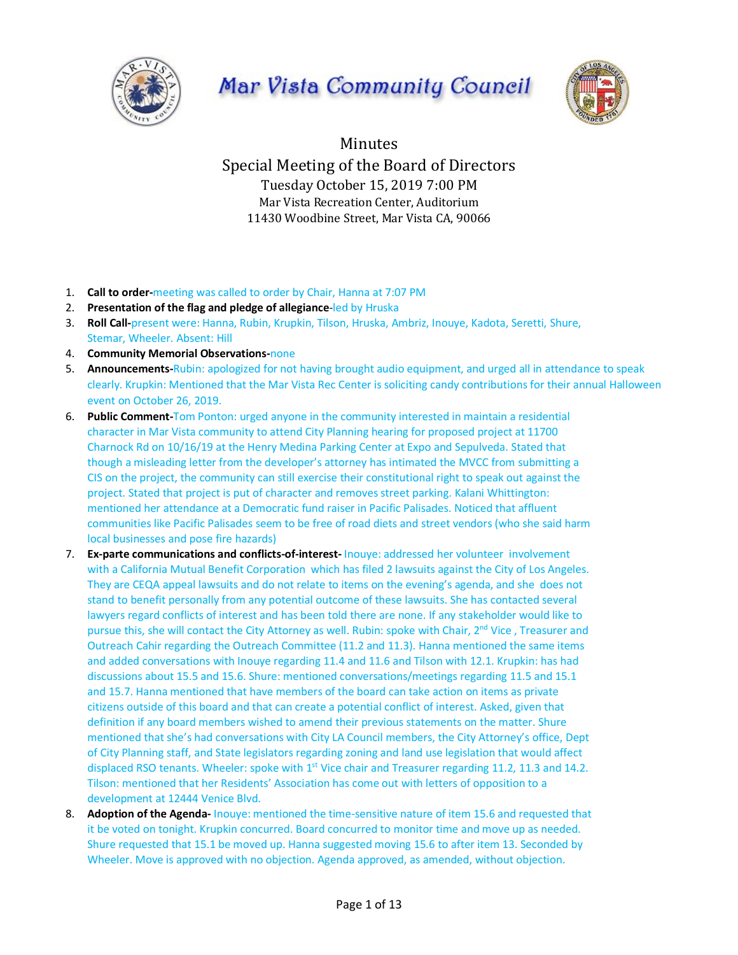

# Mar Vista Community Council



Minutes Special Meeting of the Board of Directors Tuesday October 15, 2019 7:00 PM Mar Vista Recreation Center, Auditorium 11430 Woodbine Street, Mar Vista CA, 90066

- 1. **Call to order-**meeting was called to order by Chair, Hanna at 7:07 PM
- 2. **Presentation of the flag and pledge of allegiance**-led by Hruska
- 3. **Roll Call-**present were: Hanna, Rubin, Krupkin, Tilson, Hruska, Ambriz, Inouye, Kadota, Seretti, Shure, Stemar, Wheeler. Absent: Hill
- 4. **Community Memorial Observations-**none
- 5. **Announcements-**Rubin: apologized for not having brought audio equipment, and urged all in attendance to speak clearly. Krupkin: Mentioned that the Mar Vista Rec Center is soliciting candy contributions for their annual Halloween event on October 26, 2019.
- 6. **Public Comment-**Tom Ponton: urged anyone in the community interested in maintain a residential character in Mar Vista community to attend City Planning hearing for proposed project at 11700 Charnock Rd on 10/16/19 at the Henry Medina Parking Center at Expo and Sepulveda. Stated that though a misleading letter from the developer's attorney has intimated the MVCC from submitting a CIS on the project, the community can still exercise their constitutional right to speak out against the project. Stated that project is put of character and removes street parking. Kalani Whittington: mentioned her attendance at a Democratic fund raiser in Pacific Palisades. Noticed that affluent communities like Pacific Palisades seem to be free of road diets and street vendors (who she said harm local businesses and pose fire hazards)
- 7. **Ex-parte communications and conflicts-of-interest-** Inouye: addressed her volunteer involvement with a California Mutual Benefit Corporation which has filed 2 lawsuits against the City of Los Angeles. They are CEQA appeal lawsuits and do not relate to items on the evening's agenda, and she does not stand to benefit personally from any potential outcome of these lawsuits. She has contacted several lawyers regard conflicts of interest and has been told there are none. If any stakeholder would like to pursue this, she will contact the City Attorney as well. Rubin: spoke with Chair, 2<sup>nd</sup> Vice, Treasurer and Outreach Cahir regarding the Outreach Committee (11.2 and 11.3). Hanna mentioned the same items and added conversations with Inouye regarding 11.4 and 11.6 and Tilson with 12.1. Krupkin: has had discussions about 15.5 and 15.6. Shure: mentioned conversations/meetings regarding 11.5 and 15.1 and 15.7. Hanna mentioned that have members of the board can take action on items as private citizens outside of this board and that can create a potential conflict of interest. Asked, given that definition if any board members wished to amend their previous statements on the matter. Shure mentioned that she's had conversations with City LA Council members, the City Attorney's office, Dept of City Planning staff, and State legislators regarding zoning and land use legislation that would affect displaced RSO tenants. Wheeler: spoke with 1<sup>st</sup> Vice chair and Treasurer regarding 11.2, 11.3 and 14.2. Tilson: mentioned that her Residents' Association has come out with letters of opposition to a development at 12444 Venice Blvd.
- 8. **Adoption of the Agenda-** Inouye: mentioned the time-sensitive nature of item 15.6 and requested that it be voted on tonight. Krupkin concurred. Board concurred to monitor time and move up as needed. Shure requested that 15.1 be moved up. Hanna suggested moving 15.6 to after item 13. Seconded by Wheeler. Move is approved with no objection. Agenda approved, as amended, without objection.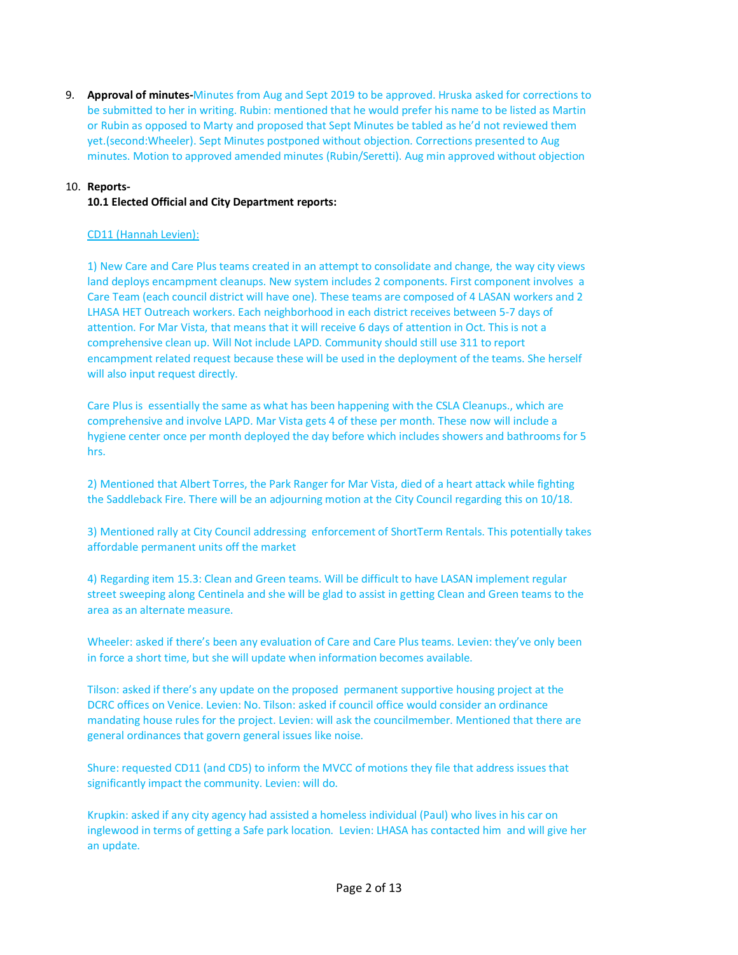9. **Approval of minutes-**Minutes from Aug and Sept 2019 to be approved. Hruska asked for corrections to be submitted to her in writing. Rubin: mentioned that he would prefer his name to be listed as Martin or Rubin as opposed to Marty and proposed that Sept Minutes be tabled as he'd not reviewed them yet.(second:Wheeler). Sept Minutes postponed without objection. Corrections presented to Aug minutes. Motion to approved amended minutes (Rubin/Seretti). Aug min approved without objection

# 10. **Reports-**

# **10.1 Elected Official and City Department reports:**

# CD11 (Hannah Levien):

1) New Care and Care Plus teams created in an attempt to consolidate and change, the way city views land deploys encampment cleanups. New system includes 2 components. First component involves a Care Team (each council district will have one). These teams are composed of 4 LASAN workers and 2 LHASA HET Outreach workers. Each neighborhood in each district receives between 5-7 days of attention. For Mar Vista, that means that it will receive 6 days of attention in Oct. This is not a comprehensive clean up. Will Not include LAPD. Community should still use 311 to report encampment related request because these will be used in the deployment of the teams. She herself will also input request directly.

Care Plus is essentially the same as what has been happening with the CSLA Cleanups., which are comprehensive and involve LAPD. Mar Vista gets 4 of these per month. These now will include a hygiene center once per month deployed the day before which includes showers and bathrooms for 5 hrs.

2) Mentioned that Albert Torres, the Park Ranger for Mar Vista, died of a heart attack while fighting the Saddleback Fire. There will be an adjourning motion at the City Council regarding this on 10/18.

3) Mentioned rally at City Council addressing enforcement of ShortTerm Rentals. This potentially takes affordable permanent units off the market

4) Regarding item 15.3: Clean and Green teams. Will be difficult to have LASAN implement regular street sweeping along Centinela and she will be glad to assist in getting Clean and Green teams to the area as an alternate measure.

Wheeler: asked if there's been any evaluation of Care and Care Plus teams. Levien: they've only been in force a short time, but she will update when information becomes available.

Tilson: asked if there's any update on the proposed permanent supportive housing project at the DCRC offices on Venice. Levien: No. Tilson: asked if council office would consider an ordinance mandating house rules for the project. Levien: will ask the councilmember. Mentioned that there are general ordinances that govern general issues like noise.

Shure: requested CD11 (and CD5) to inform the MVCC of motions they file that address issues that significantly impact the community. Levien: will do.

Krupkin: asked if any city agency had assisted a homeless individual (Paul) who lives in his car on inglewood in terms of getting a Safe park location. Levien: LHASA has contacted him and will give her an update.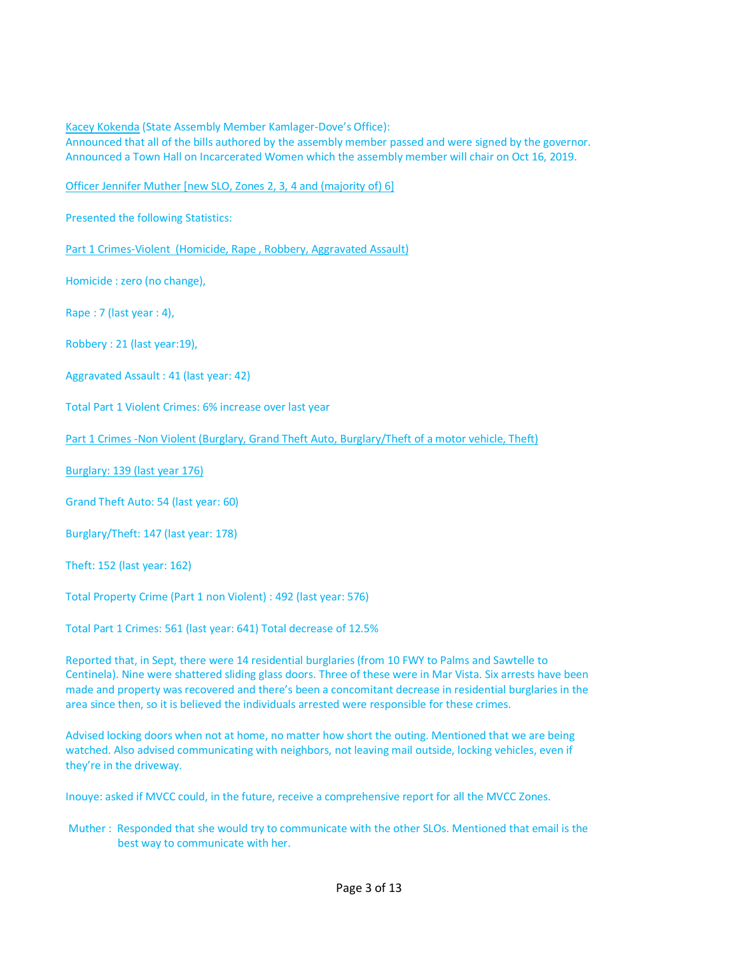Kacey Kokenda (State Assembly Member Kamlager-Dove's Office):

Announced that all of the bills authored by the assembly member passed and were signed by the governor. Announced a Town Hall on Incarcerated Women which the assembly member will chair on Oct 16, 2019.

Officer Jennifer Muther [new SLO, Zones 2, 3, 4 and (majority of) 6]

Presented the following Statistics:

Part 1 Crimes-Violent (Homicide, Rape , Robbery, Aggravated Assault)

Homicide : zero (no change),

Rape : 7 (last year : 4),

Robbery : 21 (last year:19),

Aggravated Assault : 41 (last year: 42)

Total Part 1 Violent Crimes: 6% increase over last year

Part 1 Crimes -Non Violent (Burglary, Grand Theft Auto, Burglary/Theft of a motor vehicle, Theft)

Burglary: 139 (last year 176)

Grand Theft Auto: 54 (last year: 60)

Burglary/Theft: 147 (last year: 178)

Theft: 152 (last year: 162)

Total Property Crime (Part 1 non Violent) : 492 (last year: 576)

Total Part 1 Crimes: 561 (last year: 641) Total decrease of 12.5%

Reported that, in Sept, there were 14 residential burglaries (from 10 FWY to Palms and Sawtelle to Centinela). Nine were shattered sliding glass doors. Three of these were in Mar Vista. Six arrests have been made and property was recovered and there's been a concomitant decrease in residential burglaries in the area since then, so it is believed the individuals arrested were responsible for these crimes.

Advised locking doors when not at home, no matter how short the outing. Mentioned that we are being watched. Also advised communicating with neighbors, not leaving mail outside, locking vehicles, even if they're in the driveway.

Inouye: asked if MVCC could, in the future, receive a comprehensive report for all the MVCC Zones.

Muther : Responded that she would try to communicate with the other SLOs. Mentioned that email is the best way to communicate with her.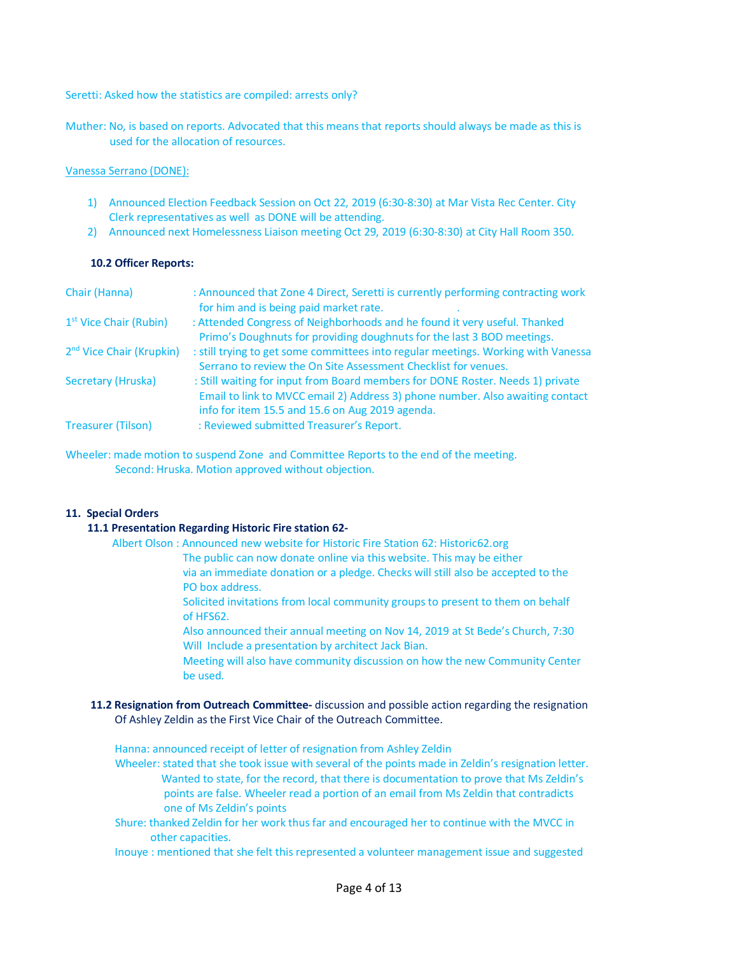Seretti: Asked how the statistics are compiled: arrests only?

Muther: No, is based on reports. Advocated that this means that reports should always be made as this is used for the allocation of resources.

## Vanessa Serrano (DONE):

- 1) Announced Election Feedback Session on Oct 22, 2019 (6:30-8:30) at Mar Vista Rec Center. City Clerk representatives as well as DONE will be attending.
- 2) Announced next Homelessness Liaison meeting Oct 29, 2019 (6:30-8:30) at City Hall Room 350.

## **10.2 Officer Reports:**

| Chair (Hanna)                        | : Announced that Zone 4 Direct, Seretti is currently performing contracting work<br>for him and is being paid market rate.                                      |
|--------------------------------------|-----------------------------------------------------------------------------------------------------------------------------------------------------------------|
| 1 <sup>st</sup> Vice Chair (Rubin)   | : Attended Congress of Neighborhoods and he found it very useful. Thanked<br>Primo's Doughnuts for providing doughnuts for the last 3 BOD meetings.             |
| 2 <sup>nd</sup> Vice Chair (Krupkin) | : still trying to get some committees into regular meetings. Working with Vanessa<br>Serrano to review the On Site Assessment Checklist for venues.             |
| Secretary (Hruska)                   | : Still waiting for input from Board members for DONE Roster. Needs 1) private<br>Email to link to MVCC email 2) Address 3) phone number. Also awaiting contact |
| <b>Treasurer (Tilson)</b>            | info for item 15.5 and 15.6 on Aug 2019 agenda.<br>: Reviewed submitted Treasurer's Report.                                                                     |

Wheeler: made motion to suspend Zone and Committee Reports to the end of the meeting. Second: Hruska. Motion approved without objection.

## **11. Special Orders**

## **11.1 Presentation Regarding Historic Fire station 62-**

- Albert Olson : Announced new website for Historic Fire Station 62: Historic62.org The public can now donate online via this website. This may be either via an immediate donation or a pledge. Checks will still also be accepted to the PO box address.
	- Solicited invitations from local community groups to present to them on behalf of HFS62.
	- Also announced their annual meeting on Nov 14, 2019 at St Bede's Church, 7:30 Will Include a presentation by architect Jack Bian.
	- Meeting will also have community discussion on how the new Community Center be used.
- **11.2 Resignation from Outreach Committee-** discussion and possible action regarding the resignation Of Ashley Zeldin as the First Vice Chair of the Outreach Committee.

 Hanna: announced receipt of letter of resignation from Ashley Zeldin Wheeler: stated that she took issue with several of the points made in Zeldin's resignation letter. Wanted to state, for the record, that there is documentation to prove that Ms Zeldin's points are false. Wheeler read a portion of an email from Ms Zeldin that contradicts one of Ms Zeldin's points

- Shure: thanked Zeldin for her work thus far and encouraged her to continue with the MVCC in other capacities.
- Inouye : mentioned that she felt this represented a volunteer management issue and suggested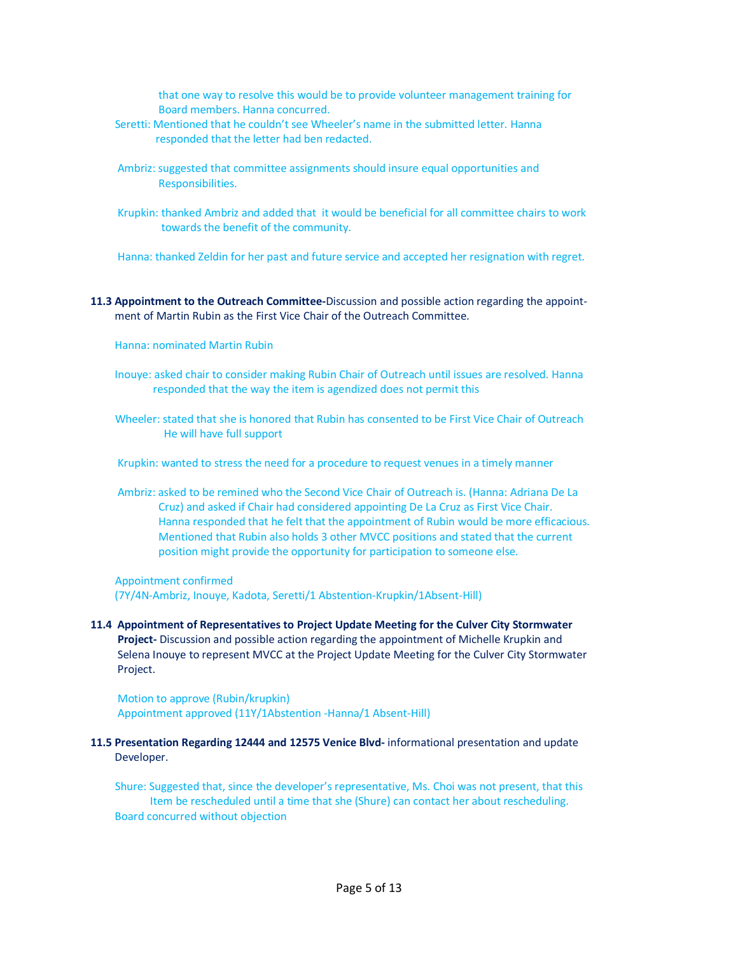that one way to resolve this would be to provide volunteer management training for Board members. Hanna concurred.

- Seretti: Mentioned that he couldn't see Wheeler's name in the submitted letter. Hanna responded that the letter had ben redacted.
- Ambriz: suggested that committee assignments should insure equal opportunities and Responsibilities.
- Krupkin: thanked Ambriz and added that it would be beneficial for all committee chairs to work towards the benefit of the community.

Hanna: thanked Zeldin for her past and future service and accepted her resignation with regret.

- **11.3 Appointment to the Outreach Committee-**Discussion and possible action regarding the appoint ment of Martin Rubin as the First Vice Chair of the Outreach Committee.
	- Hanna: nominated Martin Rubin
	- Inouye: asked chair to consider making Rubin Chair of Outreach until issues are resolved. Hanna responded that the way the item is agendized does not permit this
	- Wheeler: stated that she is honored that Rubin has consented to be First Vice Chair of Outreach He will have full support

Krupkin: wanted to stress the need for a procedure to request venues in a timely manner

 Ambriz: asked to be remined who the Second Vice Chair of Outreach is. (Hanna: Adriana De La Cruz) and asked if Chair had considered appointing De La Cruz as First Vice Chair. Hanna responded that he felt that the appointment of Rubin would be more efficacious. Mentioned that Rubin also holds 3 other MVCC positions and stated that the current position might provide the opportunity for participation to someone else.

#### Appointment confirmed (7Y/4N-Ambriz, Inouye, Kadota, Seretti/1 Abstention-Krupkin/1Absent-Hill)

 **11.4 Appointment of Representatives to Project Update Meeting for the Culver City Stormwater Project-** Discussion and possible action regarding the appointment of Michelle Krupkin and Selena Inouye to represent MVCC at the Project Update Meeting for the Culver City Stormwater Project.

 Motion to approve (Rubin/krupkin) Appointment approved (11Y/1Abstention -Hanna/1 Absent-Hill)

 **11.5 Presentation Regarding 12444 and 12575 Venice Blvd-** informational presentation and update Developer.

 Shure: Suggested that, since the developer's representative, Ms. Choi was not present, that this Item be rescheduled until a time that she (Shure) can contact her about rescheduling. Board concurred without objection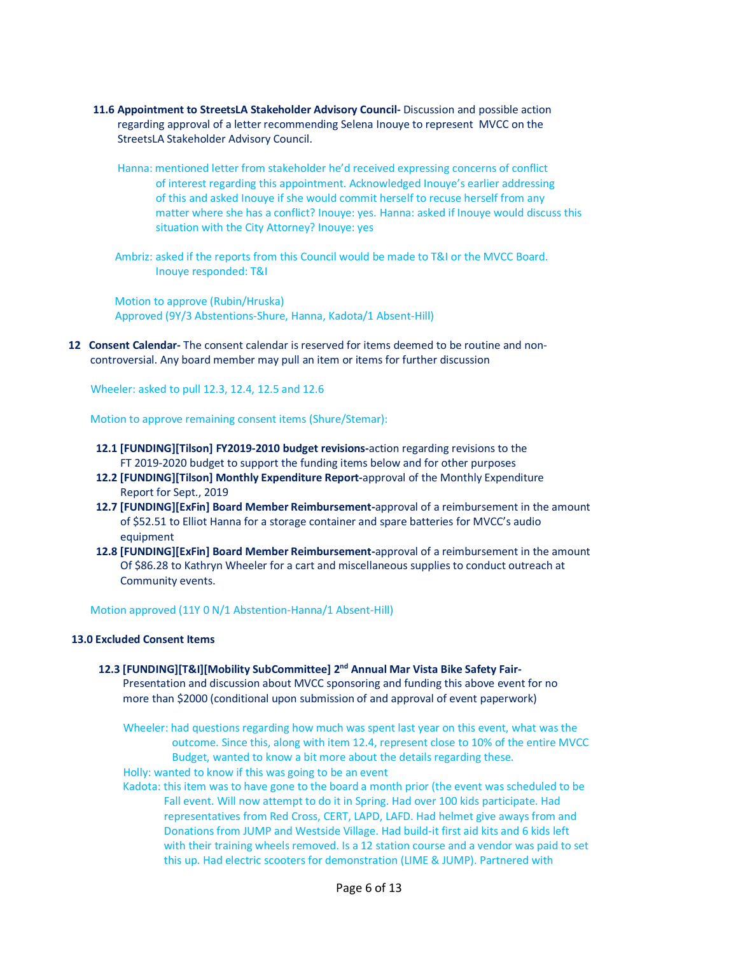- **11.6 Appointment to StreetsLA Stakeholder Advisory Council-** Discussion and possible action regarding approval of a letter recommending Selena Inouye to represent MVCC on the StreetsLA Stakeholder Advisory Council.
	- Hanna: mentioned letter from stakeholder he'd received expressing concerns of conflict of interest regarding this appointment. Acknowledged Inouye's earlier addressing of this and asked Inouye if she would commit herself to recuse herself from any matter where she has a conflict? Inouye: yes. Hanna: asked if Inouye would discuss this situation with the City Attorney? Inouye: yes
	- Ambriz: asked if the reports from this Council would be made to T&I or the MVCC Board. Inouye responded: T&I

 Motion to approve (Rubin/Hruska) Approved (9Y/3 Abstentions-Shure, Hanna, Kadota/1 Absent-Hill)

**12 Consent Calendar-** The consent calendar is reserved for items deemed to be routine and non controversial. Any board member may pull an item or items for further discussion

Wheeler: asked to pull 12.3, 12.4, 12.5 and 12.6

Motion to approve remaining consent items (Shure/Stemar):

- **12.1 [FUNDING][Tilson] FY2019-2010 budget revisions-**action regarding revisions to the FT 2019-2020 budget to support the funding items below and for other purposes
- **12.2 [FUNDING][Tilson] Monthly Expenditure Report-**approval of the Monthly Expenditure Report for Sept., 2019
- **12.7 [FUNDING][ExFin] Board Member Reimbursement-**approval of a reimbursement in the amount of \$52.51 to Elliot Hanna for a storage container and spare batteries for MVCC's audio equipment
- **12.8 [FUNDING][ExFin] Board Member Reimbursement-**approval of a reimbursement in the amount Of \$86.28 to Kathryn Wheeler for a cart and miscellaneous supplies to conduct outreach at Community events.

Motion approved (11Y 0 N/1 Abstention-Hanna/1 Absent-Hill)

#### **13.0 Excluded Consent Items**

 **12.3 [FUNDING][T&I][Mobility SubCommittee] 2nd Annual Mar Vista Bike Safety Fair-** Presentation and discussion about MVCC sponsoring and funding this above event for no more than \$2000 (conditional upon submission of and approval of event paperwork)

 Wheeler: had questions regarding how much was spent last year on this event, what was the outcome. Since this, along with item 12.4, represent close to 10% of the entire MVCC Budget, wanted to know a bit more about the details regarding these.

Holly: wanted to know if this was going to be an event

 Kadota: this item was to have gone to the board a month prior (the event was scheduled to be Fall event. Will now attempt to do it in Spring. Had over 100 kids participate. Had representatives from Red Cross, CERT, LAPD, LAFD. Had helmet give aways from and Donations from JUMP and Westside Village. Had build-it first aid kits and 6 kids left with their training wheels removed. Is a 12 station course and a vendor was paid to set this up. Had electric scooters for demonstration (LIME & JUMP). Partnered with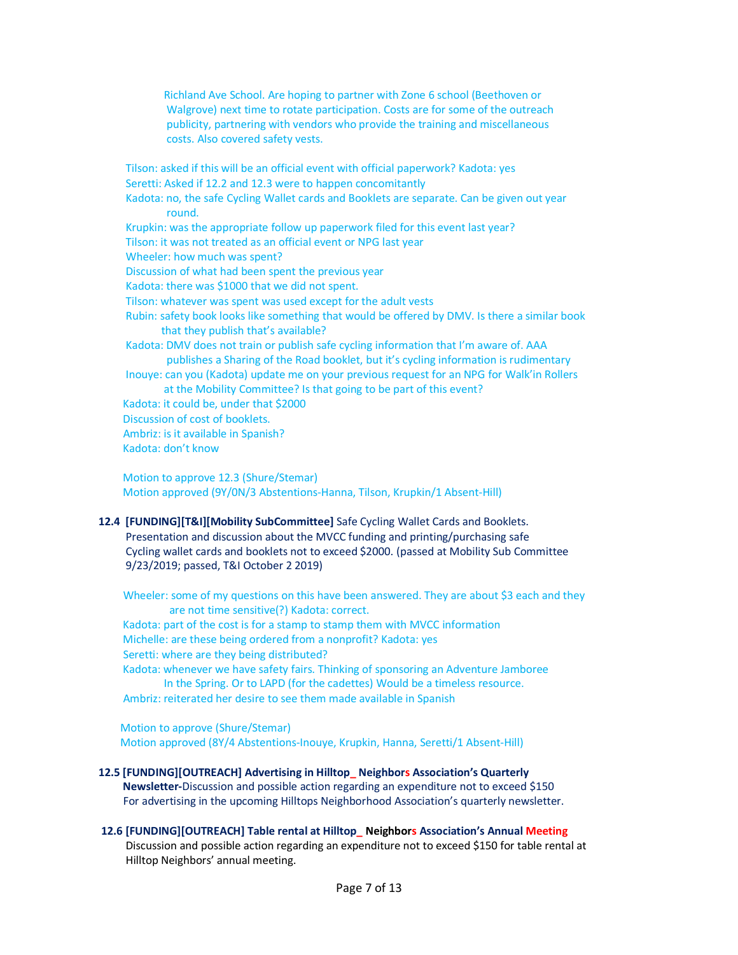Richland Ave School. Are hoping to partner with Zone 6 school (Beethoven or Walgrove) next time to rotate participation. Costs are for some of the outreach publicity, partnering with vendors who provide the training and miscellaneous costs. Also covered safety vests.

 Tilson: asked if this will be an official event with official paperwork? Kadota: yes Seretti: Asked if 12.2 and 12.3 were to happen concomitantly Kadota: no, the safe Cycling Wallet cards and Booklets are separate. Can be given out year round. Krupkin: was the appropriate follow up paperwork filed for this event last year? Tilson: it was not treated as an official event or NPG last year Wheeler: how much was spent? Discussion of what had been spent the previous year Kadota: there was \$1000 that we did not spent. Tilson: whatever was spent was used except for the adult vests Rubin: safety book looks like something that would be offered by DMV. Is there a similar book that they publish that's available? Kadota: DMV does not train or publish safe cycling information that I'm aware of. AAA publishes a Sharing of the Road booklet, but it's cycling information is rudimentary Inouye: can you (Kadota) update me on your previous request for an NPG for Walk'in Rollers at the Mobility Committee? Is that going to be part of this event? Kadota: it could be, under that \$2000 Discussion of cost of booklets. Ambriz: is it available in Spanish? Kadota: don't know

 Motion to approve 12.3 (Shure/Stemar) Motion approved (9Y/0N/3 Abstentions-Hanna, Tilson, Krupkin/1 Absent-Hill)

## **12.4 [FUNDING][T&I][Mobility SubCommittee]** Safe Cycling Wallet Cards and Booklets. Presentation and discussion about the MVCC funding and printing/purchasing safe Cycling wallet cards and booklets not to exceed \$2000. (passed at Mobility Sub Committee 9/23/2019; passed, T&I October 2 2019)

Wheeler: some of my questions on this have been answered. They are about \$3 each and they are not time sensitive(?) Kadota: correct. Kadota: part of the cost is for a stamp to stamp them with MVCC information Michelle: are these being ordered from a nonprofit? Kadota: yes Seretti: where are they being distributed? Kadota: whenever we have safety fairs. Thinking of sponsoring an Adventure Jamboree In the Spring. Or to LAPD (for the cadettes) Would be a timeless resource. Ambriz: reiterated her desire to see them made available in Spanish

 Motion to approve (Shure/Stemar) Motion approved (8Y/4 Abstentions-Inouye, Krupkin, Hanna, Seretti/1 Absent-Hill)

 **12.5 [FUNDING][OUTREACH] Advertising in Hilltop\_ Neighbors Association's Quarterly Newsletter-**Discussion and possible action regarding an expenditure not to exceed \$150 For advertising in the upcoming Hilltops Neighborhood Association's quarterly newsletter.

# **12.6 [FUNDING][OUTREACH] Table rental at Hilltop\_ Neighbors Association's Annual Meeting**

Discussion and possible action regarding an expenditure not to exceed \$150 for table rental at Hilltop Neighbors' annual meeting.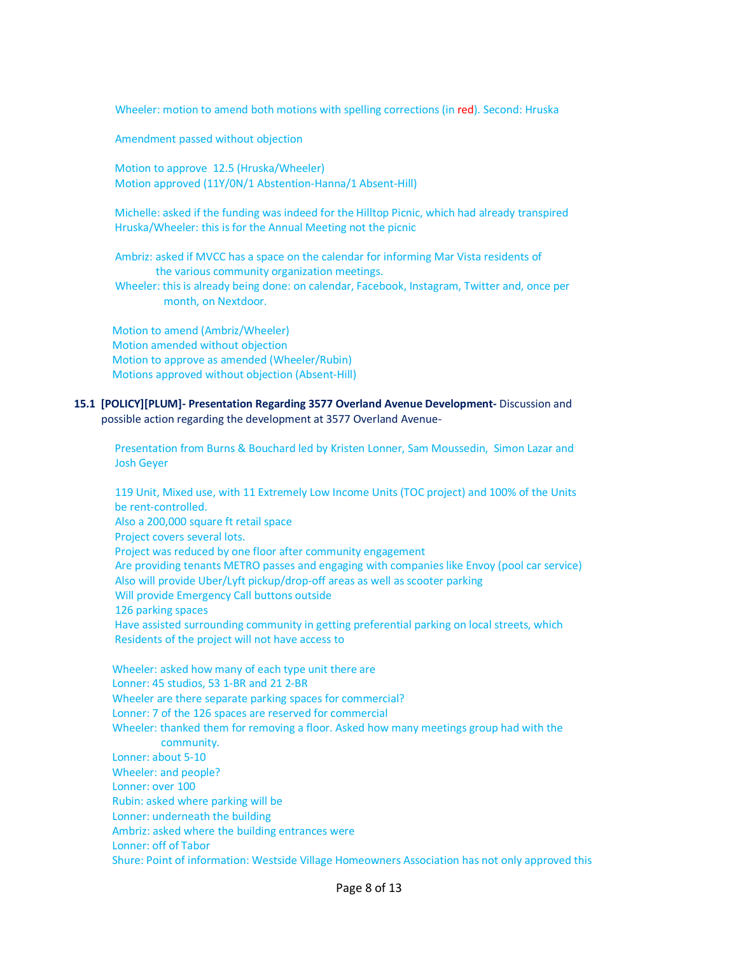Wheeler: motion to amend both motions with spelling corrections (in red). Second: Hruska

Amendment passed without objection

 Motion to approve 12.5 (Hruska/Wheeler) Motion approved (11Y/0N/1 Abstention-Hanna/1 Absent-Hill)

 Michelle: asked if the funding was indeed for the Hilltop Picnic, which had already transpired Hruska/Wheeler: this is for the Annual Meeting not the picnic

 Ambriz: asked if MVCC has a space on the calendar for informing Mar Vista residents of the various community organization meetings.

 Wheeler: this is already being done: on calendar, Facebook, Instagram, Twitter and, once per month, on Nextdoor.

 Motion to amend (Ambriz/Wheeler) Motion amended without objection Motion to approve as amended (Wheeler/Rubin) Motions approved without objection (Absent-Hill)

## **15.1 [POLICY][PLUM]- Presentation Regarding 3577 Overland Avenue Development-** Discussion and possible action regarding the development at 3577 Overland Avenue-

 Presentation from Burns & Bouchard led by Kristen Lonner, Sam Moussedin, Simon Lazar and Josh Geyer

 119 Unit, Mixed use, with 11 Extremely Low Income Units (TOC project) and 100% of the Units be rent-controlled. Also a 200,000 square ft retail space Project covers several lots. Project was reduced by one floor after community engagement Are providing tenants METRO passes and engaging with companies like Envoy (pool car service) Also will provide Uber/Lyft pickup/drop-off areas as well as scooter parking Will provide Emergency Call buttons outside 126 parking spaces Have assisted surrounding community in getting preferential parking on local streets, which Residents of the project will not have access to Wheeler: asked how many of each type unit there are Lonner: 45 studios, 53 1-BR and 21 2-BR Wheeler are there separate parking spaces for commercial? Lonner: 7 of the 126 spaces are reserved for commercial Wheeler: thanked them for removing a floor. Asked how many meetings group had with the community. Lonner: about 5-10 Wheeler: and people? Lonner: over 100 Rubin: asked where parking will be Lonner: underneath the building Ambriz: asked where the building entrances were Lonner: off of Tabor Shure: Point of information: Westside Village Homeowners Association has not only approved this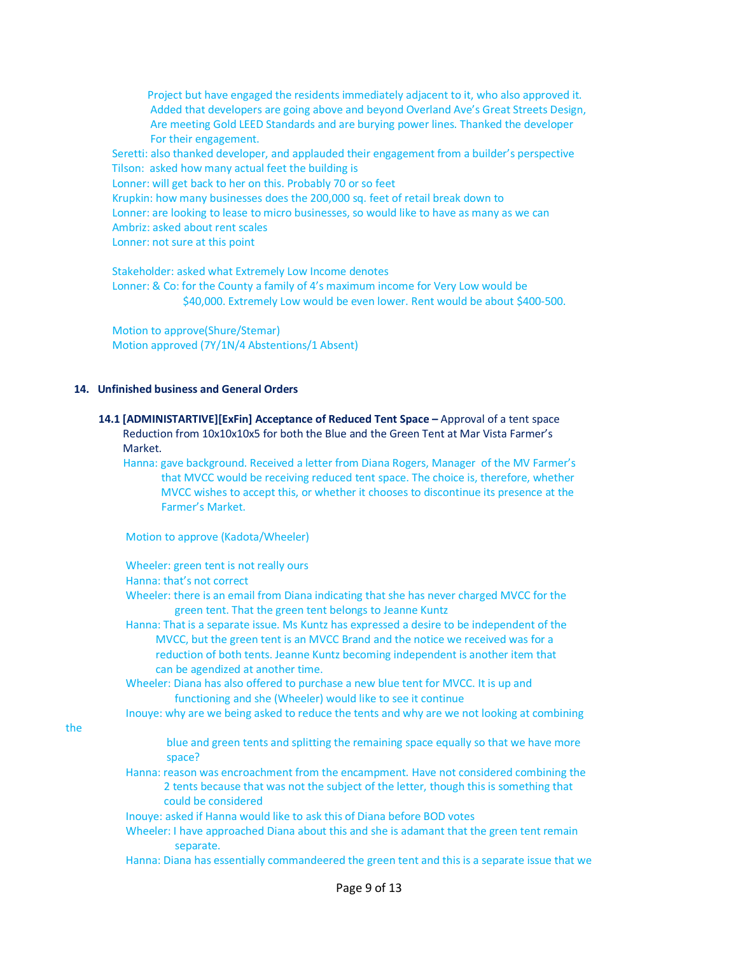Project but have engaged the residents immediately adjacent to it, who also approved it. Added that developers are going above and beyond Overland Ave's Great Streets Design, Are meeting Gold LEED Standards and are burying power lines. Thanked the developer For their engagement.

 Seretti: also thanked developer, and applauded their engagement from a builder's perspective Tilson: asked how many actual feet the building is

Lonner: will get back to her on this. Probably 70 or so feet

Krupkin: how many businesses does the 200,000 sq. feet of retail break down to

Lonner: are looking to lease to micro businesses, so would like to have as many as we can

Ambriz: asked about rent scales

Lonner: not sure at this point

 Stakeholder: asked what Extremely Low Income denotes Lonner: & Co: for the County a family of 4's maximum income for Very Low would be \$40,000. Extremely Low would be even lower. Rent would be about \$400-500.

 Motion to approve(Shure/Stemar) Motion approved (7Y/1N/4 Abstentions/1 Absent)

## **14. Unfinished business and General Orders**

the

#### **14.1 [ADMINISTARTIVE][ExFin] Acceptance of Reduced Tent Space –** Approval of a tent space Reduction from 10x10x10x5 for both the Blue and the Green Tent at Mar Vista Farmer's Market.

 Hanna: gave background. Received a letter from Diana Rogers, Manager of the MV Farmer's that MVCC would be receiving reduced tent space. The choice is, therefore, whether MVCC wishes to accept this, or whether it chooses to discontinue its presence at the Farmer's Market.

Motion to approve (Kadota/Wheeler)

|     | Wheeler: green tent is not really ours                                                                                                                                                                 |
|-----|--------------------------------------------------------------------------------------------------------------------------------------------------------------------------------------------------------|
|     | Hanna: that's not correct                                                                                                                                                                              |
|     | Wheeler: there is an email from Diana indicating that she has never charged MVCC for the<br>green tent. That the green tent belongs to Jeanne Kuntz                                                    |
|     | Hanna: That is a separate issue. Ms Kuntz has expressed a desire to be independent of the                                                                                                              |
|     | MVCC, but the green tent is an MVCC Brand and the notice we received was for a<br>reduction of both tents. Jeanne Kuntz becoming independent is another item that<br>can be agendized at another time. |
|     | Wheeler: Diana has also offered to purchase a new blue tent for MVCC. It is up and<br>functioning and she (Wheeler) would like to see it continue                                                      |
|     | Inouye: why are we being asked to reduce the tents and why are we not looking at combining                                                                                                             |
| the |                                                                                                                                                                                                        |
|     | blue and green tents and splitting the remaining space equally so that we have more<br>space?                                                                                                          |
|     | Hanna: reason was encroachment from the encampment. Have not considered combining the<br>2 tents because that was not the subject of the letter, though this is something that<br>could be considered  |
|     | Inouye: asked if Hanna would like to ask this of Diana before BOD votes                                                                                                                                |
|     | Wheeler: I have approached Diana about this and she is adamant that the green tent remain<br>separate.                                                                                                 |
|     |                                                                                                                                                                                                        |

Hanna: Diana has essentially commandeered the green tent and this is a separate issue that we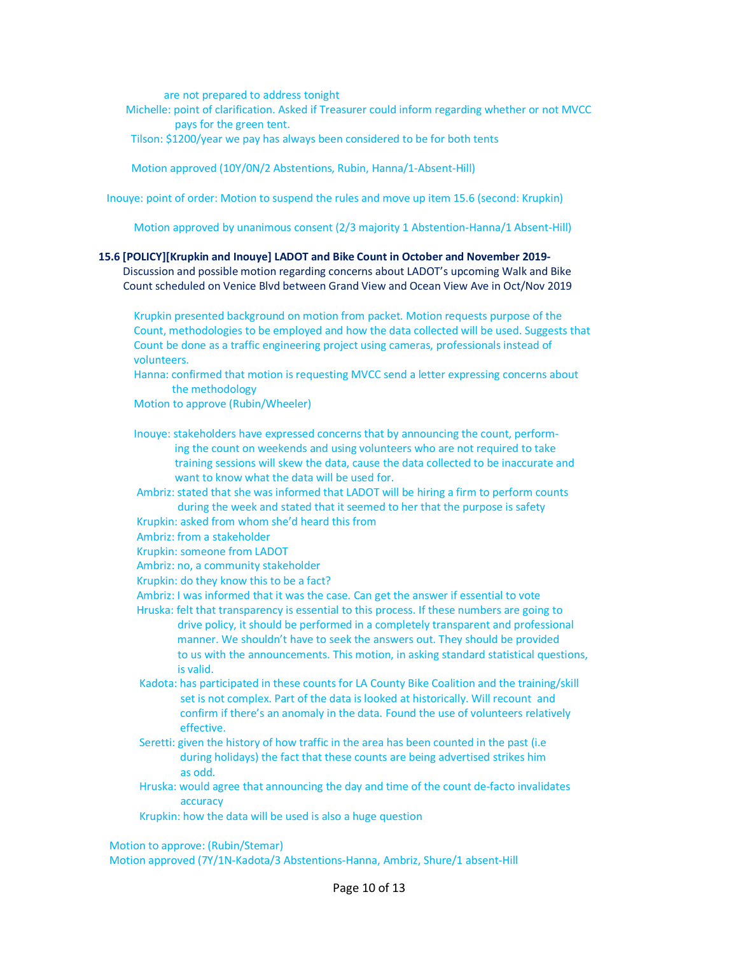are not prepared to address tonight

 Michelle: point of clarification. Asked if Treasurer could inform regarding whether or not MVCC pays for the green tent.

Tilson: \$1200/year we pay has always been considered to be for both tents

Motion approved (10Y/0N/2 Abstentions, Rubin, Hanna/1-Absent-Hill)

Inouye: point of order: Motion to suspend the rules and move up item 15.6 (second: Krupkin)

Motion approved by unanimous consent (2/3 majority 1 Abstention-Hanna/1 Absent-Hill)

#### **15.6 [POLICY][Krupkin and Inouye] LADOT and Bike Count in October and November 2019-**

 Discussion and possible motion regarding concerns about LADOT's upcoming Walk and Bike Count scheduled on Venice Blvd between Grand View and Ocean View Ave in Oct/Nov 2019

 Krupkin presented background on motion from packet. Motion requests purpose of the Count, methodologies to be employed and how the data collected will be used. Suggests that Count be done as a traffic engineering project using cameras, professionals instead of volunteers.

 Hanna: confirmed that motion is requesting MVCC send a letter expressing concerns about the methodology

Motion to approve (Rubin/Wheeler)

Inouye: stakeholders have expressed concerns that by announcing the count, perform-

- ing the count on weekends and using volunteers who are not required to take training sessions will skew the data, cause the data collected to be inaccurate and want to know what the data will be used for.
- Ambriz: stated that she was informed that LADOT will be hiring a firm to perform counts during the week and stated that it seemed to her that the purpose is safety
- Krupkin: asked from whom she'd heard this from

Ambriz: from a stakeholder

- Krupkin: someone from LADOT
- Ambriz: no, a community stakeholder
- Krupkin: do they know this to be a fact?
- Ambriz: I was informed that it was the case. Can get the answer if essential to vote
- Hruska: felt that transparency is essential to this process. If these numbers are going to drive policy, it should be performed in a completely transparent and professional manner. We shouldn't have to seek the answers out. They should be provided to us with the announcements. This motion, in asking standard statistical questions, is valid.
- Kadota: has participated in these counts for LA County Bike Coalition and the training/skill set is not complex. Part of the data is looked at historically. Will recount and confirm if there's an anomaly in the data. Found the use of volunteers relatively effective.
- Seretti: given the history of how traffic in the area has been counted in the past (i.e during holidays) the fact that these counts are being advertised strikes him as odd.
- Hruska: would agree that announcing the day and time of the count de-facto invalidates accuracy
- Krupkin: how the data will be used is also a huge question

Motion to approve: (Rubin/Stemar)

Motion approved (7Y/1N-Kadota/3 Abstentions-Hanna, Ambriz, Shure/1 absent-Hill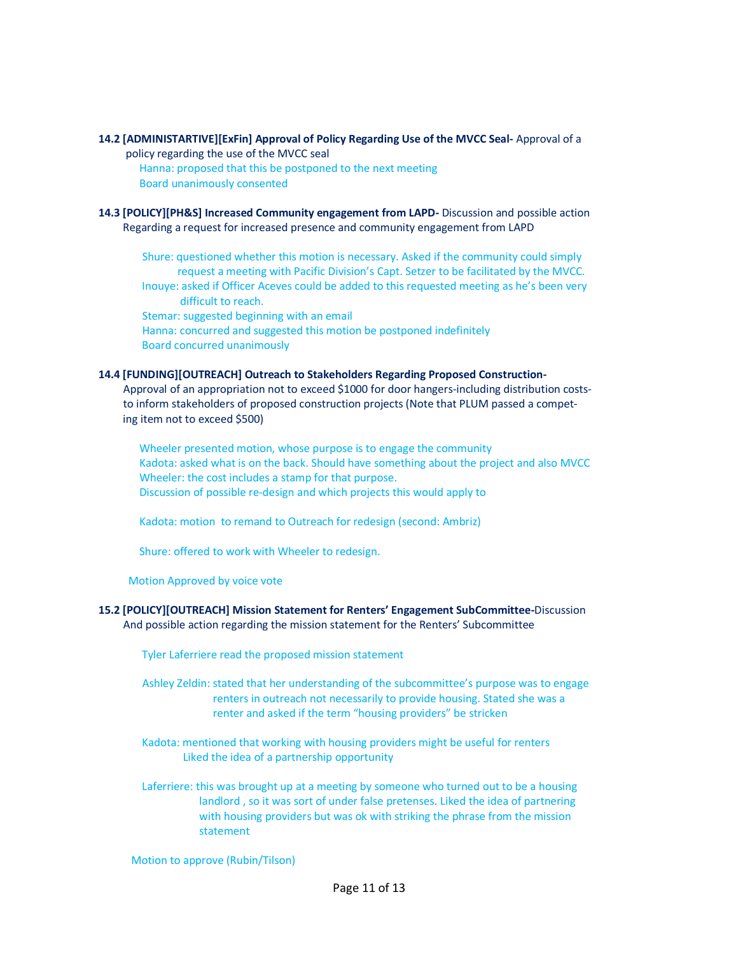## **14.2 [ADMINISTARTIVE][ExFin] Approval of Policy Regarding Use of the MVCC Seal-** Approval of a

- policy regarding the use of the MVCC seal Hanna: proposed that this be postponed to the next meeting Board unanimously consented
- **14.3 [POLICY][PH&S] Increased Community engagement from LAPD-** Discussion and possible action Regarding a request for increased presence and community engagement from LAPD

 Shure: questioned whether this motion is necessary. Asked if the community could simply request a meeting with Pacific Division's Capt. Setzer to be facilitated by the MVCC. Inouye: asked if Officer Aceves could be added to this requested meeting as he's been very difficult to reach.

 Stemar: suggested beginning with an email Hanna: concurred and suggested this motion be postponed indefinitely Board concurred unanimously

#### **14.4 [FUNDING][OUTREACH] Outreach to Stakeholders Regarding Proposed Construction-**

Approval of an appropriation not to exceed \$1000 for door hangers-including distribution costs to inform stakeholders of proposed construction projects (Note that PLUM passed a compet ing item not to exceed \$500)

 Wheeler presented motion, whose purpose is to engage the community Kadota: asked what is on the back. Should have something about the project and also MVCC Wheeler: the cost includes a stamp for that purpose. Discussion of possible re-design and which projects this would apply to

Kadota: motion to remand to Outreach for redesign (second: Ambriz)

Shure: offered to work with Wheeler to redesign.

Motion Approved by voice vote

## **15.2 [POLICY][OUTREACH] Mission Statement for Renters' Engagement SubCommittee-**Discussion And possible action regarding the mission statement for the Renters' Subcommittee

Tyler Laferriere read the proposed mission statement

- Ashley Zeldin: stated that her understanding of the subcommittee's purpose was to engage renters in outreach not necessarily to provide housing. Stated she was a renter and asked if the term "housing providers" be stricken
- Kadota: mentioned that working with housing providers might be useful for renters Liked the idea of a partnership opportunity
- Laferriere: this was brought up at a meeting by someone who turned out to be a housing landlord , so it was sort of under false pretenses. Liked the idea of partnering with housing providers but was ok with striking the phrase from the mission statement

Motion to approve (Rubin/Tilson)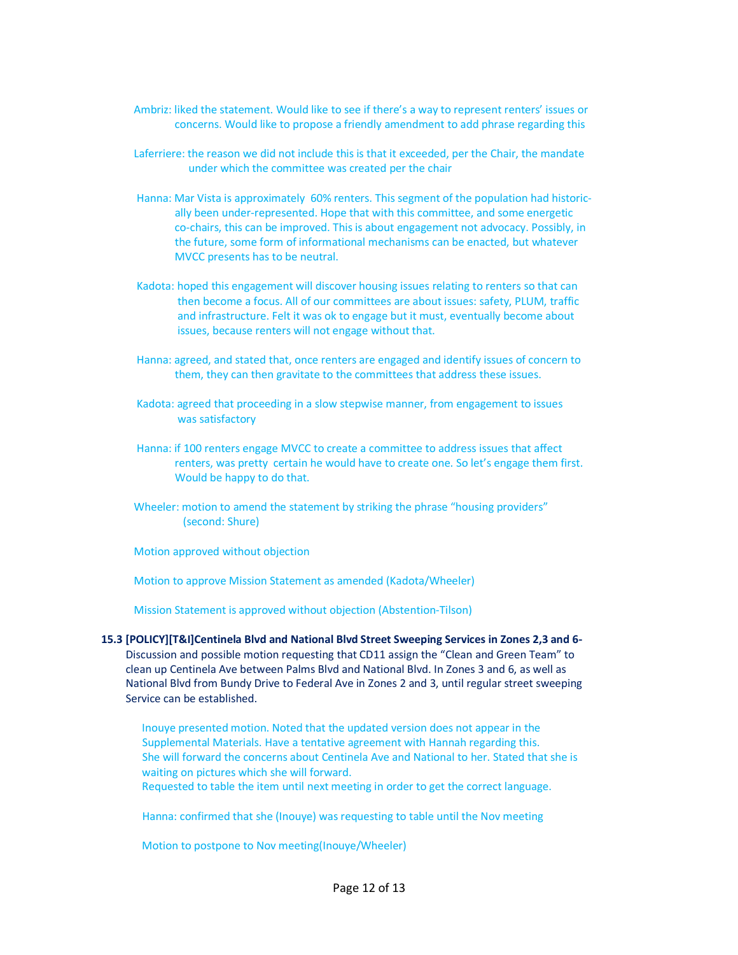- Ambriz: liked the statement. Would like to see if there's a way to represent renters' issues or concerns. Would like to propose a friendly amendment to add phrase regarding this
- Laferriere: the reason we did not include this is that it exceeded, per the Chair, the mandate under which the committee was created per the chair
- Hanna: Mar Vista is approximately 60% renters. This segment of the population had historic ally been under-represented. Hope that with this committee, and some energetic co-chairs, this can be improved. This is about engagement not advocacy. Possibly, in the future, some form of informational mechanisms can be enacted, but whatever MVCC presents has to be neutral.
- Kadota: hoped this engagement will discover housing issues relating to renters so that can then become a focus. All of our committees are about issues: safety, PLUM, traffic and infrastructure. Felt it was ok to engage but it must, eventually become about issues, because renters will not engage without that.
- Hanna: agreed, and stated that, once renters are engaged and identify issues of concern to them, they can then gravitate to the committees that address these issues.
- Kadota: agreed that proceeding in a slow stepwise manner, from engagement to issues was satisfactory
- Hanna: if 100 renters engage MVCC to create a committee to address issues that affect renters, was pretty certain he would have to create one. So let's engage them first. Would be happy to do that.
- Wheeler: motion to amend the statement by striking the phrase "housing providers" (second: Shure)

Motion approved without objection

Motion to approve Mission Statement as amended (Kadota/Wheeler)

Mission Statement is approved without objection (Abstention-Tilson)

- **15.3 [POLICY][T&I]Centinela Blvd and National Blvd Street Sweeping Services in Zones 2,3 and 6-** Discussion and possible motion requesting that CD11 assign the "Clean and Green Team" to clean up Centinela Ave between Palms Blvd and National Blvd. In Zones 3 and 6, as well as National Blvd from Bundy Drive to Federal Ave in Zones 2 and 3, until regular street sweeping Service can be established.
	- Inouye presented motion. Noted that the updated version does not appear in the Supplemental Materials. Have a tentative agreement with Hannah regarding this. She will forward the concerns about Centinela Ave and National to her. Stated that she is waiting on pictures which she will forward.

Requested to table the item until next meeting in order to get the correct language.

Hanna: confirmed that she (Inouye) was requesting to table until the Nov meeting

Motion to postpone to Nov meeting(Inouye/Wheeler)